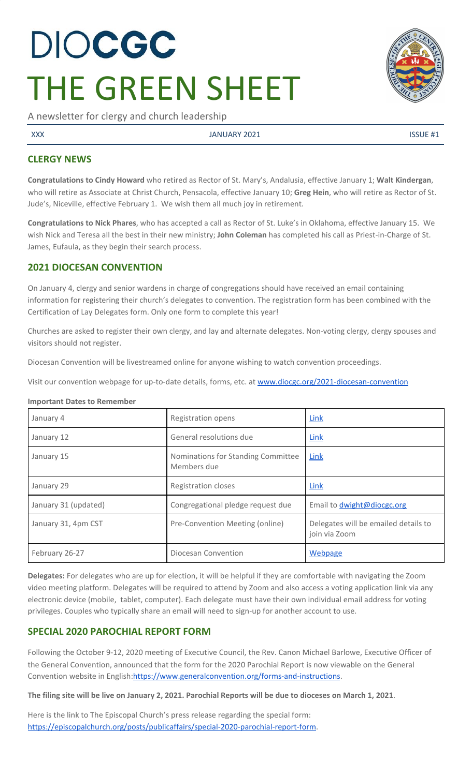# DIOCGC THE GREEN SHEET

A newsletter for clergy and church leadership

XXX SERVICE AND STRUCK STATES AND A SUMPLE AT A SUMPLE AND ANNUARY 2021

# **CLERGY NEWS**

**Congratulations to Cindy Howard** who retired as Rector of St. Mary's, Andalusia, effective January 1; **Walt Kindergan**, who will retire as Associate at Christ Church, Pensacola, effective January 10; **Greg Hein**, who will retire as Rector of St. Jude's, Niceville, effective February 1. We wish them all much joy in retirement.

**Congratulations to Nick Phares**, who has accepted a call as Rector of St. Luke's in Oklahoma, effective January 15. We wish Nick and Teresa all the best in their new ministry; **John Coleman** has completed his call as Priest-in-Charge of St. James, Eufaula, as they begin their search process.

# **2021 DIOCESAN CONVENTION**

On January 4, clergy and senior wardens in charge of congregations should have received an email containing information for registering their church's delegates to convention. The registration form has been combined with the Certification of Lay Delegates form. Only one form to complete this year!

Churches are asked to register their own clergy, and lay and alternate delegates. Non-voting clergy, clergy spouses and visitors should not register.

Diocesan Convention will be livestreamed online for anyone wishing to watch convention proceedings.

Visit our convention webpage for up-to-date details, forms, etc. at [www.diocgc.org/2021-diocesan-convention](http://www.diocgc.org/2021-diocesan-convention)

#### **Important Dates to Remember**

| January 4            | Registration opens                                | Link                                                  |
|----------------------|---------------------------------------------------|-------------------------------------------------------|
| January 12           | General resolutions due                           | Link                                                  |
| January 15           | Nominations for Standing Committee<br>Members due | Link                                                  |
| January 29           | Registration closes                               | Link                                                  |
| January 31 (updated) | Congregational pledge request due                 | Email to <b>dwight@diocgc.org</b>                     |
| January 31, 4pm CST  | Pre-Convention Meeting (online)                   | Delegates will be emailed details to<br>join via Zoom |
| February 26-27       | Diocesan Convention                               | Webpage                                               |

**Delegates:** For delegates who are up for election, it will be helpful if they are comfortable with navigating the Zoom video meeting platform. Delegates will be required to attend by Zoom and also access a voting application link via any electronic device (mobile, tablet, computer). Each delegate must have their own individual email address for voting privileges. Couples who typically share an email will need to sign-up for another account to use.

# **SPECIAL 2020 PAROCHIAL REPORT FORM**

Following the October 9-12, 2020 meeting of Executive Council, the Rev. Canon Michael Barlowe, Executive Officer of the General Convention, announced that the form for the 2020 Parochial Report is now viewable on the General Convention website in English[:https://www.generalconvention.org/forms-and-instructions](https://www.generalconvention.org/forms-and-instructions).

The filing site will be live on January 2, 2021. Parochial Reports will be due to dioceses on March 1, 2021.

Here is the link to The Episcopal Church's press release regarding the special form: <https://episcopalchurch.org/posts/publicaffairs/special-2020-parochial-report-form>.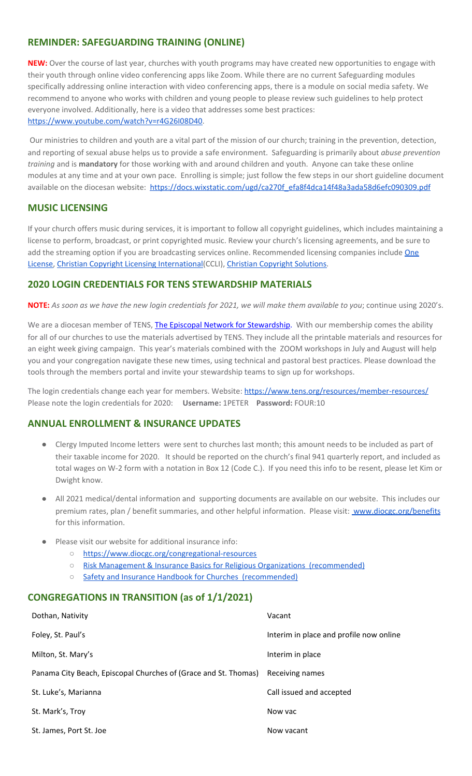## **REMINDER: SAFEGUARDING TRAINING (ONLINE)**

**NEW:** Over the course of last year, churches with youth programs may have created new opportunities to engage with their youth through online video conferencing apps like Zoom. While there are no current Safeguarding modules specifically addressing online interaction with video conferencing apps, there is a module on social media safety. We recommend to anyone who works with children and young people to please review such guidelines to help protect everyone involved. Additionally, here is a video that addresses some best practices: <https://www.youtube.com/watch?v=r4G26I08D40>.

Our ministries to children and youth are a vital part of the mission of our church; training in the prevention, detection, and reporting of sexual abuse helps us to provide a safe environment. Safeguarding is primarily about *abuse prevention training* and is **mandatory** for those working with and around children and youth. Anyone can take these online modules at any time and at your own pace. Enrolling is simple; just follow the few steps in our short guideline document available on the diocesan website: [https://docs.wixstatic.com/ugd/ca270f\\_efa8f4dca14f48a3ada58d6efc090309.pdf](https://docs.wixstatic.com/ugd/ca270f_efa8f4dca14f48a3ada58d6efc090309.pdf)

#### **MUSIC LICENSING**

If your church offers music during services, it is important to follow all copyright guidelines, which includes maintaining a license to perform, broadcast, or print copyrighted music. Review your church's licensing agreements, and be sure to add the streaming option if you are broadcasting services online. Recommended licensing companies include [One](https://onelicense.net/) [License,](https://onelicense.net/) Christian Copyright Licensing [International](https://us.ccli.com/)(CCLI), Christian [Copyright](https://christiancopyrightsolutions.com/) Solutions.

#### **2020 LOGIN CREDENTIALS FOR TENS STEWARDSHIP MATERIALS**

**NOTE:** As soon as we have the new login credentials for 2021, we will make them available to you; continue using 2020's.

We are a diocesan member of [T](http://r20.rs6.net/tn.jsp?f=0012pqt_t4bfTKnRF8Xmufb-M4Ry8JkNpVzuf-DfMr466n2fJlrEabEgWXavWDn2Hx3i5ph5cMsQu0KkvBM2IIao7IcazXgBLtGdZrXLuo4poO7i2eq_EiuExGDSC-wd1a3AjKcDRDPj18=&c=9_JBIUfw9Y9WIzA02dVBmW_Dc5eF3SbOEA5-vLB-MbLj0nQWfaMvNg==&ch=bNQQUmRhILUjCbu1RkHCQ0rqqsD1-RBYprcIQ3NuhLlaKPcsXS1TyQ==)ENS, The Episcopal Network for [Stewardship](http://r20.rs6.net/tn.jsp?f=0012pqt_t4bfTKnRF8Xmufb-M4Ry8JkNpVzuf-DfMr466n2fJlrEabEgWXavWDn2Hx3i5ph5cMsQu0KkvBM2IIao7IcazXgBLtGdZrXLuo4poO7i2eq_EiuExGDSC-wd1a3AjKcDRDPj18=&c=9_JBIUfw9Y9WIzA02dVBmW_Dc5eF3SbOEA5-vLB-MbLj0nQWfaMvNg==&ch=bNQQUmRhILUjCbu1RkHCQ0rqqsD1-RBYprcIQ3NuhLlaKPcsXS1TyQ==). With our membership comes the ability for all of our churches to use the materials advertised by TENS. They include all the printable materials and resources for an eight week giving campaign. This year's materials combined with the ZOOM workshops in July and August will help you and your congregation navigate these new times, using technical and pastoral best practices. Please download the tools through the members portal and invite your stewardship teams to sign up for workshops.

The login credentials change each year for members. Website: <https://www.tens.org/resources/member-resources/> Please note the login credentials for 2020: **Username:** 1PETER **Password:** FOUR:10

#### **ANNUAL ENROLLMENT & INSURANCE UPDATES**

- Clergy Imputed Income letters were sent to churches last month; this amount needs to be included as part of their taxable income for 2020. It should be reported on the church's final 941 quarterly report, and included as total wages on W-2 form with a notation in Box 12 (Code C.). If you need this info to be resent, please let Kim or Dwight know.
- All 2021 medical/dental information and supporting documents are available on our website. This includes our premium rates, plan / benefit summaries, and other helpful information. Please visit: [www.diocgc.org/benefits](http://www.diocgc.org/benefits) for this information.
- Please visit our website for additional insurance info:
	- <https://www.diocgc.org/congregational-resources>
	- Risk Management & Insurance Basics for Religious Organizations [\(recommended\)](https://2f23db9c-81c0-437f-88c1-0d3b99fdb03d.filesusr.com/ugd/ca270f_0fc945a39bad470191c4075c97602c08.pdf)
	- Safety and Insurance Handbook for Churches [\(recommended\)](https://2f23db9c-81c0-437f-88c1-0d3b99fdb03d.filesusr.com/ugd/4525a9_6b89020a60b040f49e2f7feb44b56873.pdf)

#### **CONGREGATIONS IN TRANSITION (as of 1/1/2021)**

| Dothan, Nativity                                                | Vacant                                  |
|-----------------------------------------------------------------|-----------------------------------------|
| Foley, St. Paul's                                               | Interim in place and profile now online |
| Milton, St. Mary's                                              | Interim in place                        |
| Panama City Beach, Episcopal Churches of (Grace and St. Thomas) | Receiving names                         |
| St. Luke's, Marianna                                            | Call issued and accepted                |
| St. Mark's, Troy                                                | Now yac                                 |
| St. James, Port St. Joe                                         | Now vacant                              |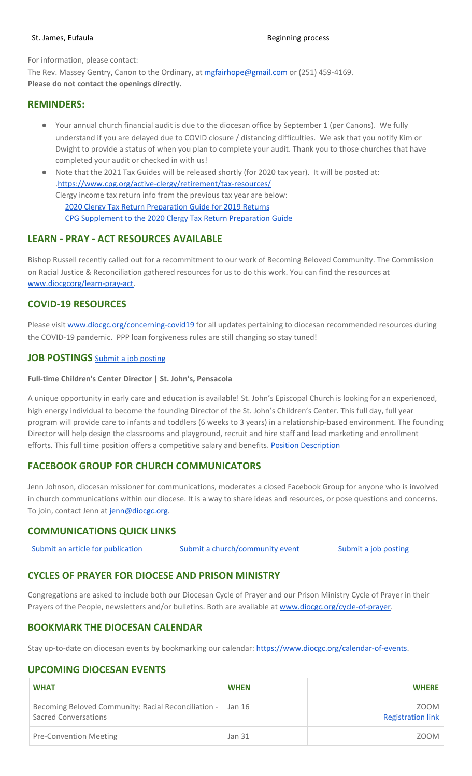#### St. James, Eufaula Beginning process

For information, please contact:

The Rev. Massey Gentry, Canon to the Ordinary, at [mgfairhope@gmail.com](mailto:mgfairhope@gmail.com) or (251) 459-4169. **Please do not contact the openings directly.**

#### **REMINDERS:**

- Your annual church financial audit is due to the diocesan office by September 1 (per Canons). We fully understand if you are delayed due to COVID closure / distancing difficulties. We ask that you notify Kim or Dwight to provide a status of when you plan to complete your audit. Thank you to those churches that have completed your audit or checked in with us!
- Note that the 2021 Tax Guides will be released shortly (for 2020 tax year). It will be posted at: .<https://www.cpg.org/active-clergy/retirement/tax-resources/> Clergy income tax return info from the previous tax year are below: 2020 Clergy Tax Return [Preparation](https://www.cpg.org/linkservid/D998735C-CE21-6189-EB815B133ECD868A/showMeta/0/?label=2020%20Clergy%20Tax%20Return%20Preparation%20Guide%20for%202019%20Tax%20Returns) Guide for 2019 Returns

CPG [Supplement](https://www.cpg.org/linkservid/DA0301BC-D8CF-06D3-C4C6BAB106394432/showMeta/0/?label=Supplement%20to%20the%202020%20Clergy%20Tax%20Return%20Preparation%20Guide%20for%202019%20Returns) to the 2020 Clergy Tax Return Preparation Guide

# **LEARN - PRAY - ACT RESOURCES AVAILABLE**

Bishop Russell recently called out for a recommitment to our work of Becoming Beloved Community. The Commission on Racial Justice & Reconciliation gathered resources for us to do this work. You can find the resources at [www.diocgcorg/learn-pray-act.](http://www.diocgcorg/learn-pray-act)

## **COVID-19 RESOURCES**

Please visit [www.diocgc.org/concerning-covid19](http://www.diocgc.org/concerning-covid19) for all updates pertaining to diocesan recommended resources during the COVID-19 pandemic. PPP loan forgiveness rules are still changing so stay tuned!

#### **JOB POSTINGS** Submit a job [posting](https://www.emailmeform.com/builder/form/0cZqC653GdH24p01aWQDfUh)

#### **Full-time Children's Center Director | St. John's, Pensacola**

A unique opportunity in early care and education is available! St. John's Episcopal Church is looking for an experienced, high energy individual to become the founding Director of the St. John's Children's Center. This full day, full year program will provide care to infants and toddlers (6 weeks to 3 years) in a relationship-based environment. The founding Director will help design the classrooms and playground, recruit and hire staff and lead marketing and enrollment efforts. This full time position offers a competitive salary and benefits. **Position [Description](https://files.constantcontact.com/77805af7001/18bf1eb9-855f-48d2-a362-aa299bfa46a4.docx)** 

# **FACEBOOK GROUP FOR CHURCH COMMUNICATORS**

Jenn Johnson, diocesan missioner for communications, moderates a closed Facebook Group for anyone who is involved in church communications within our diocese. It is a way to share ideas and resources, or pose questions and concerns. To join, contact Jenn at [jenn@diocgc.org.](mailto:jenn@diocgc.org)

#### **COMMUNICATIONS QUICK LINKS**

| Submit an article for publication | Submit a church/community event | Submit a job posting |
|-----------------------------------|---------------------------------|----------------------|
|                                   |                                 |                      |

#### **CYCLES OF PRAYER FOR DIOCESE AND PRISON MINISTRY**

Congregations are asked to include both our Diocesan Cycle of Prayer and our Prison Ministry Cycle of Prayer in their Prayers of the People, newsletters and/or bulletins. Both are available at [www.diocgc.org/cycle-of-prayer.](http://www.diocgc.org/cycle-of-prayer)

#### **BOOKMARK THE DIOCESAN CALENDAR**

Stay up-to-date on diocesan events by bookmarking our calendar: [https://www.diocgc.org/calendar-of-events.](https://www.diocgc.org/calendar-of-events)

#### **UPCOMING DIOCESAN EVENTS**

| <b>WHAT</b>                                                                                 | <b>WHEN</b>   | <b>WHERE</b>                     |
|---------------------------------------------------------------------------------------------|---------------|----------------------------------|
| Becoming Beloved Community: Racial Reconciliation -   Jan 16<br><b>Sacred Conversations</b> |               | ZOOM<br><b>Registration link</b> |
| <b>Pre-Convention Meeting</b>                                                               | <b>Jan 31</b> | ZOOM                             |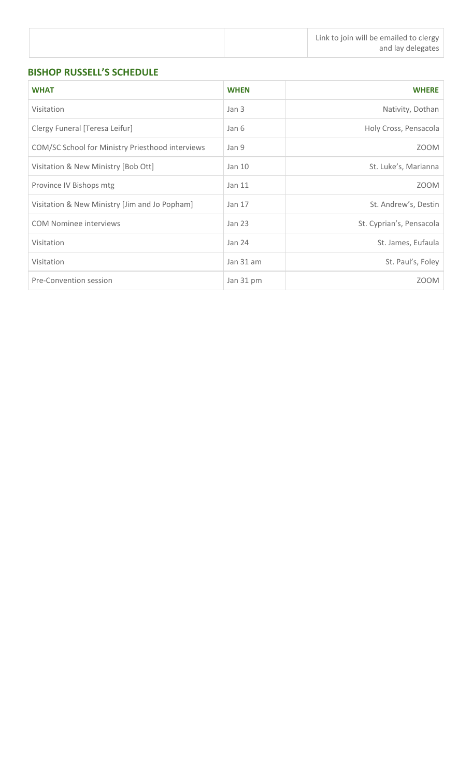# **BISHOP RUSSELL'S SCHEDULE**

| <b>WHAT</b>                                      | <b>WHEN</b> | <b>WHERE</b>             |
|--------------------------------------------------|-------------|--------------------------|
| Visitation                                       | Jan 3       | Nativity, Dothan         |
| Clergy Funeral [Teresa Leifur]                   | Jan 6       | Holy Cross, Pensacola    |
| COM/SC School for Ministry Priesthood interviews | Jan 9       | <b>ZOOM</b>              |
| Visitation & New Ministry [Bob Ott]              | Jan 10      | St. Luke's, Marianna     |
| Province IV Bishops mtg                          | Jan 11      | ZOOM                     |
| Visitation & New Ministry [Jim and Jo Popham]    | Jan 17      | St. Andrew's, Destin     |
| <b>COM Nominee interviews</b>                    | Jan $23$    | St. Cyprian's, Pensacola |
| Visitation                                       | Jan 24      | St. James, Eufaula       |
| Visitation                                       | Jan 31 am   | St. Paul's, Foley        |
| Pre-Convention session                           | Jan 31 pm   | ZOOM                     |